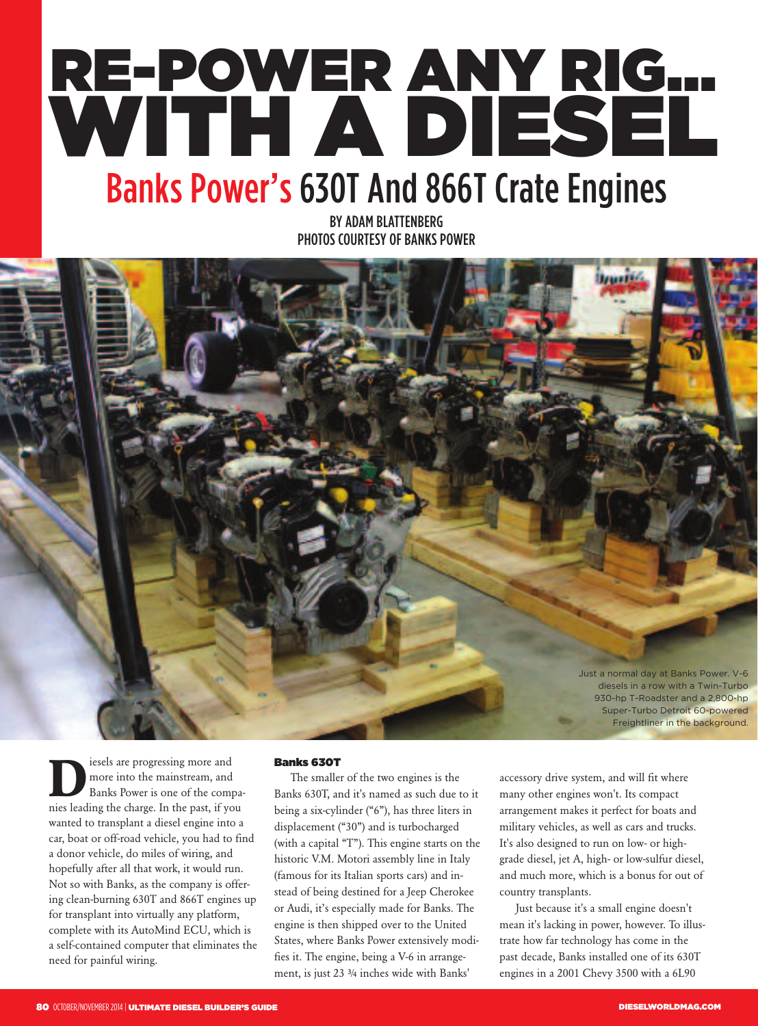# **RE-POWER ANY RIG… WITH A DIESEL** Banks Power's 630T And 866T Crate Engines

BY ADAM BLATTENBERG PHOTOS COURTESY OF BANKS POWER



**D**iesels are progressing more and<br>more into the mainstream, and<br>Banks Power is one of the com more into the mainstream, and Banks Power is one of the companies leading the charge. In the past, if you wanted to transplant a diesel engine into a car, boat or off-road vehicle, you had to find a donor vehicle, do miles of wiring, and hopefully after all that work, it would run. Not so with Banks, as the company is offering clean-burning 630T and 866T engines up for transplant into virtually any platform, complete with its AutoMind ECU, which is a self-contained computer that eliminates the need for painful wiring.

#### **Banks 630T**

The smaller of the two engines is the Banks 630T, and it's named as such due to it being a six-cylinder ("6"), has three liters in displacement ("30") and is turbocharged (with a capital "T"). This engine starts on the historic V.M. Motori assembly line in Italy (famous for its Italian sports cars) and instead of being destined for a Jeep Cherokee or Audi, it's especially made for Banks. The engine is then shipped over to the United States, where Banks Power extensively modifies it. The engine, being a V-6 in arrangement, is just 23 ¾ inches wide with Banks'

accessory drive system, and will fit where many other engines won't. Its compact arrangement makes it perfect for boats and military vehicles, as well as cars and trucks. It's also designed to run on low- or highgrade diesel, jet A, high- or low-sulfur diesel, and much more, which is a bonus for out of country transplants.

Just because it's a small engine doesn't mean it's lacking in power, however. To illustrate how far technology has come in the past decade, Banks installed one of its 630T engines in a 2001 Chevy 3500 with a 6L90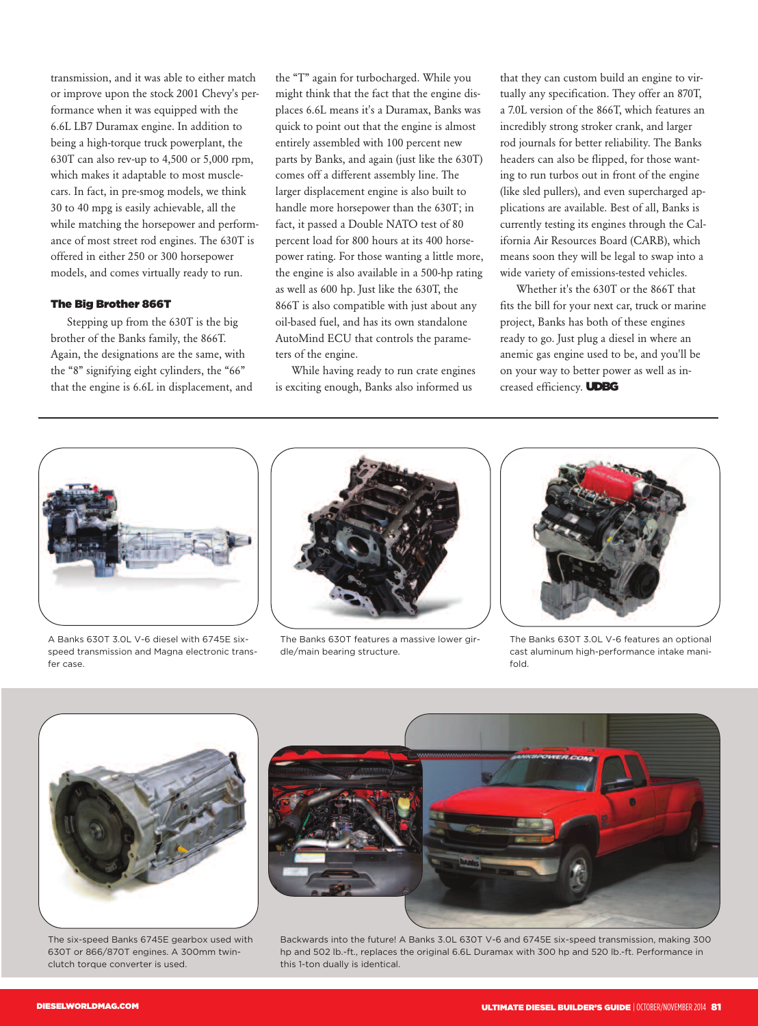transmission, and it was able to either match or improve upon the stock 2001 Chevy's performance when it was equipped with the 6.6L LB7 Duramax engine. In addition to being a high-torque truck powerplant, the 630T can also rev-up to 4,500 or 5,000 rpm, which makes it adaptable to most musclecars. In fact, in pre-smog models, we think 30 to 40 mpg is easily achievable, all the while matching the horsepower and performance of most street rod engines. The 630T is offered in either 250 or 300 horsepower models, and comes virtually ready to run.

#### **The Big Brother 866T**

Stepping up from the 630T is the big brother of the Banks family, the 866T. Again, the designations are the same, with the "8" signifying eight cylinders, the "66" that the engine is 6.6L in displacement, and the "T" again for turbocharged. While you might think that the fact that the engine displaces 6.6L means it's a Duramax, Banks was quick to point out that the engine is almost entirely assembled with 100 percent new parts by Banks, and again (just like the 630T) comes off a different assembly line. The larger displacement engine is also built to handle more horsepower than the 630T; in fact, it passed a Double NATO test of 80 percent load for 800 hours at its 400 horsepower rating. For those wanting a little more, the engine is also available in a 500-hp rating as well as 600 hp. Just like the 630T, the 866T is also compatible with just about any oil-based fuel, and has its own standalone AutoMind ECU that controls the parameters of the engine.

While having ready to run crate engines is exciting enough, Banks also informed us

that they can custom build an engine to virtually any specification. They offer an 870T, a 7.0L version of the 866T, which features an incredibly strong stroker crank, and larger rod journals for better reliability. The Banks headers can also be flipped, for those wanting to run turbos out in front of the engine (like sled pullers), and even supercharged applications are available. Best of all, Banks is currently testing its engines through the California Air Resources Board (CARB), which means soon they will be legal to swap into a wide variety of emissions-tested vehicles.

Whether it's the 630T or the 866T that fits the bill for your next car, truck or marine project, Banks has both of these engines ready to go. Just plug a diesel in where an anemic gas engine used to be, and you'll be on your way to better power as well as increased efficiency. **UDBG**



A Banks 630T 3.0L V-6 diesel with 6745E sixspeed transmission and Magna electronic transfer case.



The Banks 630T features a massive lower girdle/main bearing structure.



The Banks 630T 3.0L V-6 features an optional cast aluminum high-performance intake manifold.



The six-speed Banks 6745E gearbox used with 630T or 866/870T engines. A 300mm twinclutch torque converter is used.

Backwards into the future! A Banks 3.0L 630T V-6 and 6745E six-speed transmission, making 300 hp and 502 lb.-ft., replaces the original 6.6L Duramax with 300 hp and 520 lb.-ft. Performance in this 1-ton dually is identical.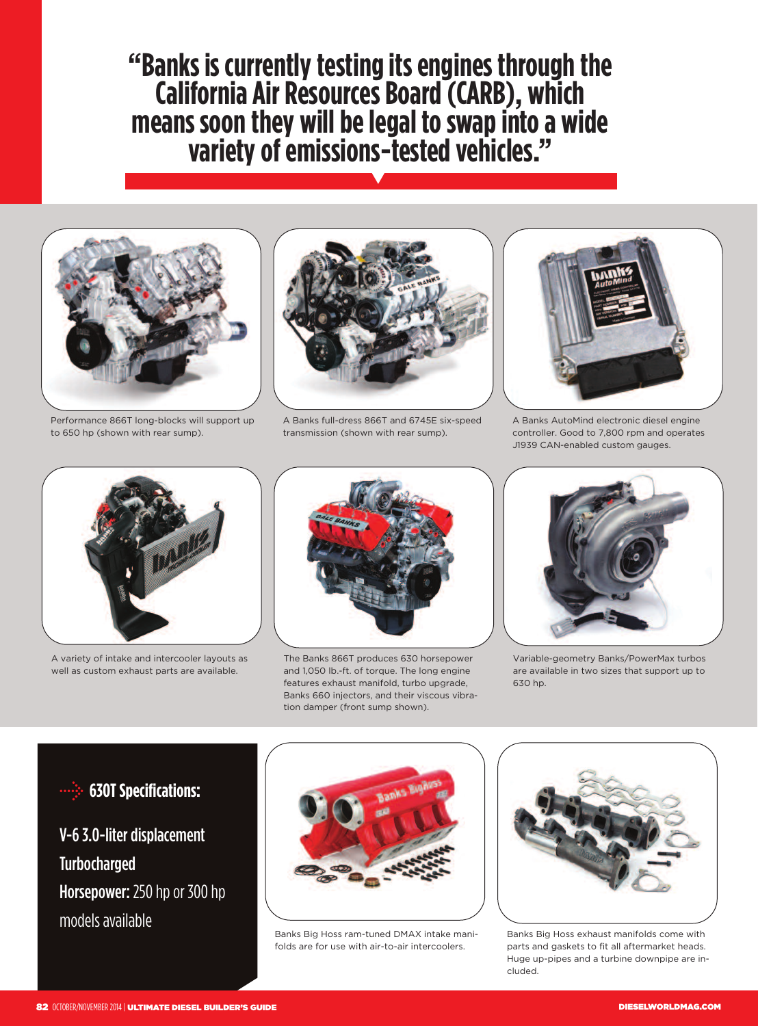**"Banks is currentlytestingitsengines throughthe CaliforniaAirResourcesBoard(CARB), which means soonthey willbelegal toswapintoa wide varietyofemissions-testedvehicles."** V



Performance 866T long-blocks will support up to 650 hp (shown with rear sump).



A Banks full-dress 866T and 6745E six-speed transmission (shown with rear sump).



A Banks AutoMind electronic diesel engine controller. Good to 7,800 rpm and operates J1939 CAN-enabled custom gauges.



A variety of intake and intercooler layouts as well as custom exhaust parts are available.



The Banks 866T produces 630 horsepower and 1,050 lb.-ft. of torque. The long engine features exhaust manifold, turbo upgrade, Banks 660 injectors, and their viscous vibration damper (front sump shown).



Variable-geometry Banks/PowerMax turbos are available in two sizes that support up to 630 hp.

### **630T Specifications:**

## V-6 3.0-liter displacement Turbocharged Horsepower: 250 hp or 300 hp models available



Banks Big Hoss ram-tuned DMAX intake manifolds are for use with air-to-air intercoolers.



Banks Big Hoss exhaust manifolds come with parts and gaskets to fit all aftermarket heads. Huge up-pipes and a turbine downpipe are included.